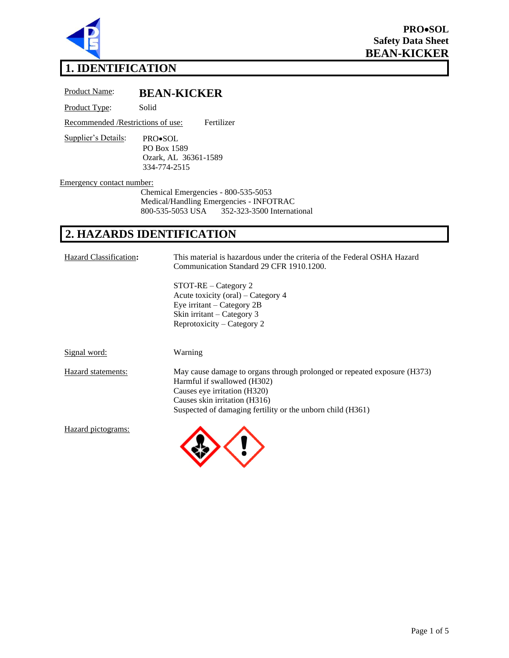

# **1. IDENTIFICATION**

Product Name: **BEAN-KICKER**

Product Type: Solid

Recommended /Restrictions of use: Fertilizer

Supplier's Details: PRO•SOL PO Box 1589 Ozark, AL 36361-1589 334-774-2515

Emergency contact number:

Chemical Emergencies - 800-535-5053 Medical/Handling Emergencies - INFOTRAC<br>800-535-5053 USA 352-323-3500 Internat 800-535-5053 USA 352-323-3500 International

# **2. HAZARDS IDENTIFICATION**

| Hazard Classification: | This material is hazardous under the criteria of the Federal OSHA Hazard<br>Communication Standard 29 CFR 1910.1200.                                                                                                                   |
|------------------------|----------------------------------------------------------------------------------------------------------------------------------------------------------------------------------------------------------------------------------------|
|                        | $STOT-RE-Category$ 2<br>Acute toxicity (oral) – Category 4<br>Eye irritant $-$ Category 2B<br>Skin irritant – Category 3<br>Reprotoxicity – Category 2                                                                                 |
| Signal word:           | Warning                                                                                                                                                                                                                                |
| Hazard statements:     | May cause damage to organs through prolonged or repeated exposure (H373)<br>Harmful if swallowed (H302)<br>Causes eye irritation (H320)<br>Causes skin irritation (H316)<br>Suspected of damaging fertility or the unborn child (H361) |
| Hazard pictograms:     |                                                                                                                                                                                                                                        |

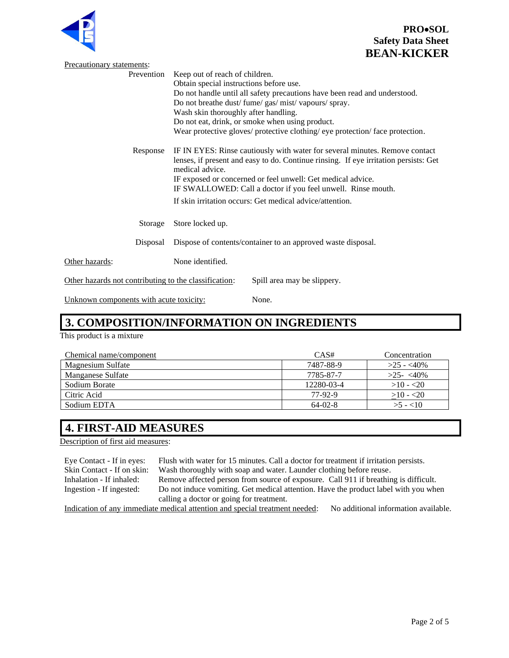



| Precautionary statements:                             |                                                                                                                                                                                         |                             |  |
|-------------------------------------------------------|-----------------------------------------------------------------------------------------------------------------------------------------------------------------------------------------|-----------------------------|--|
| Prevention                                            | Keep out of reach of children.                                                                                                                                                          |                             |  |
|                                                       | Obtain special instructions before use.                                                                                                                                                 |                             |  |
|                                                       | Do not handle until all safety precautions have been read and understood.                                                                                                               |                             |  |
|                                                       | Do not breathe dust/ fume/ gas/ mist/ vapours/ spray.                                                                                                                                   |                             |  |
|                                                       | Wash skin thoroughly after handling.                                                                                                                                                    |                             |  |
|                                                       | Do not eat, drink, or smoke when using product.                                                                                                                                         |                             |  |
|                                                       | Wear protective gloves/ protective clothing/ eye protection/ face protection.                                                                                                           |                             |  |
| Response                                              | IF IN EYES: Rinse cautiously with water for several minutes. Remove contact<br>lenses, if present and easy to do. Continue rinsing. If eye irritation persists: Get<br>medical advice.  |                             |  |
|                                                       | IF exposed or concerned or feel unwell: Get medical advice.<br>IF SWALLOWED: Call a doctor if you feel unwell. Rinse mouth.<br>If skin irritation occurs: Get medical advice/attention. |                             |  |
|                                                       |                                                                                                                                                                                         |                             |  |
|                                                       |                                                                                                                                                                                         |                             |  |
| Storage                                               | Store locked up.                                                                                                                                                                        |                             |  |
| Disposal                                              | Dispose of contents/container to an approved waste disposal.                                                                                                                            |                             |  |
| Other hazards:                                        | None identified.                                                                                                                                                                        |                             |  |
| Other hazards not contributing to the classification: |                                                                                                                                                                                         | Spill area may be slippery. |  |
| Unknown components with acute toxicity:               |                                                                                                                                                                                         | None.                       |  |

# **3. COMPOSITION/INFORMATION ON INGREDIENTS**

This product is a mixture

| Chemical name/component | CAS#       | Concentration |
|-------------------------|------------|---------------|
| Magnesium Sulfate       | 7487-88-9  | $>25 - 40\%$  |
| Manganese Sulfate       | 7785-87-7  | $>25-<40\%$   |
| Sodium Borate           | 12280-03-4 | $>10 - 20$    |
| Citric Acid             | 77-92-9    | $>10 - 20$    |
| Sodium EDTA             | $64-02-8$  | $>5 - 10$     |

# **4. FIRST-AID MEASURES**

Description of first aid measures:

| Eye Contact - If in eyes:                                                                                           | Flush with water for 15 minutes. Call a doctor for treatment if irritation persists. |  |
|---------------------------------------------------------------------------------------------------------------------|--------------------------------------------------------------------------------------|--|
| Skin Contact - If on skin:                                                                                          | Wash thoroughly with soap and water. Launder clothing before reuse.                  |  |
| Inhalation - If inhaled:                                                                                            | Remove affected person from source of exposure. Call 911 if breathing is difficult.  |  |
| Ingestion - If ingested:                                                                                            | Do not induce vomiting. Get medical attention. Have the product label with you when  |  |
| calling a doctor or going for treatment.                                                                            |                                                                                      |  |
| Indication of any immediate medical attention and special treatment needed:<br>No additional information available. |                                                                                      |  |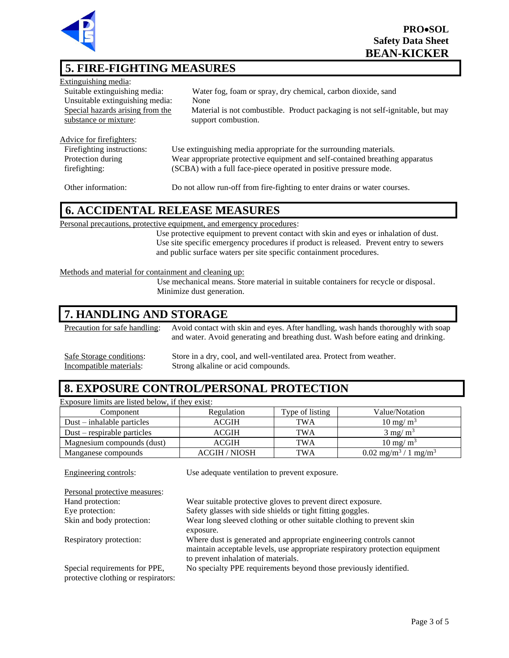

# **5. FIRE-FIGHTING MEASURES**

| Extinguishing media:             |                                                                               |
|----------------------------------|-------------------------------------------------------------------------------|
| Suitable extinguishing media:    | Water fog, foam or spray, dry chemical, carbon dioxide, sand                  |
| Unsuitable extinguishing media:  | None                                                                          |
| Special hazards arising from the | Material is not combustible. Product packaging is not self-ignitable, but may |
| substance or mixture:            | support combustion.                                                           |
|                                  |                                                                               |
| Advice for firefighters:         |                                                                               |
| Firefighting instructions:       | Use extinguishing media appropriate for the surrounding materials.            |
| Protection during                | Wear appropriate protective equipment and self-contained breathing apparatus  |
| firefighting:                    | (SCBA) with a full face-piece operated in positive pressure mode.             |

Other information: Do not allow run-off from fire-fighting to enter drains or water courses.

#### **6. ACCIDENTAL RELEASE MEASURES**

Personal precautions, protective equipment, and emergency procedures:

Use protective equipment to prevent contact with skin and eyes or inhalation of dust. Use site specific emergency procedures if product is released. Prevent entry to sewers and public surface waters per site specific containment procedures.

#### Methods and material for containment and cleaning up:

Use mechanical means. Store material in suitable containers for recycle or disposal. Minimize dust generation.

### **7. HANDLING AND STORAGE**

Precaution for safe handling: Avoid contact with skin and eyes. After handling, wash hands thoroughly with soap and water. Avoid generating and breathing dust. Wash before eating and drinking.

Safe Storage conditions: Store in a dry, cool, and well-ventilated area. Protect from weather.<br>Incompatible materials: Strong alkaline or acid compounds. Strong alkaline or acid compounds.

#### **8. EXPOSURE CONTROL/PERSONAL PROTECTION**

Exposure limits are listed below, if they exist:

| Component                     | Regulation           | Type of listing | Value/Notation                                       |
|-------------------------------|----------------------|-----------------|------------------------------------------------------|
| $Dust - inhalable particles$  | ACGIH                | TWA             | $10 \text{ mg/m}^3$                                  |
| $Dust$ – respirable particles | ACGIH                | <b>TWA</b>      | $3 \text{ mg/m}^3$                                   |
| Magnesium compounds (dust)    | ACGIH                | TWA             | $10 \text{ mg/m}^3$                                  |
| Manganese compounds           | <b>ACGIH / NIOSH</b> | <b>TWA</b>      | $0.02$ mg/m <sup>3</sup> /<br>$/1$ mg/m <sup>3</sup> |

| Engineering controls:                                                | Use adequate ventilation to prevent exposure.                                                                                                                                              |
|----------------------------------------------------------------------|--------------------------------------------------------------------------------------------------------------------------------------------------------------------------------------------|
| Personal protective measures:                                        |                                                                                                                                                                                            |
| Hand protection:                                                     | Wear suitable protective gloves to prevent direct exposure.                                                                                                                                |
| Eye protection:                                                      | Safety glasses with side shields or tight fitting goggles.                                                                                                                                 |
| Skin and body protection:                                            | Wear long sleeved clothing or other suitable clothing to prevent skin                                                                                                                      |
|                                                                      | exposure.                                                                                                                                                                                  |
| Respiratory protection:                                              | Where dust is generated and appropriate engineering controls cannot<br>maintain acceptable levels, use appropriate respiratory protection equipment<br>to prevent inhalation of materials. |
| Special requirements for PPE,<br>protective clothing or respirators: | No specialty PPE requirements beyond those previously identified.                                                                                                                          |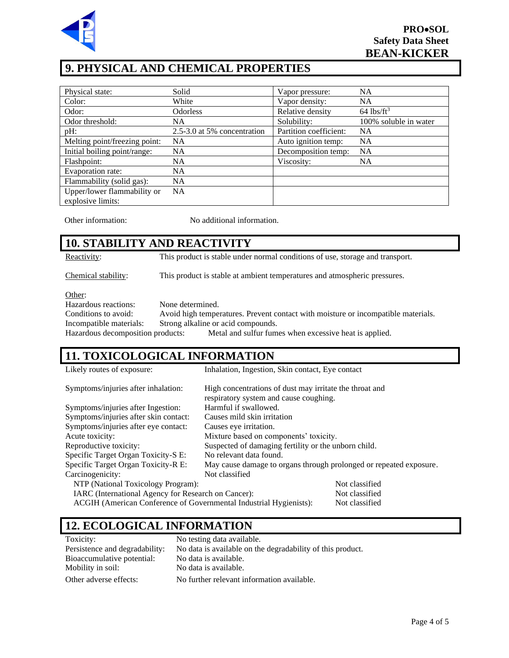

# **9. PHYSICAL AND CHEMICAL PROPERTIES**

| Physical state:                                  | Solid                       | Vapor pressure:        | <b>NA</b>                |
|--------------------------------------------------|-----------------------------|------------------------|--------------------------|
| Color:                                           | White                       | Vapor density:         | <b>NA</b>                |
| Odor:                                            | <b>Odorless</b>             | Relative density       | $64$ lbs/ft <sup>3</sup> |
| Odor threshold:                                  | <b>NA</b>                   | Solubility:            | 100% soluble in water    |
| pH:                                              | 2.5-3.0 at 5% concentration | Partition coefficient: | <b>NA</b>                |
| Melting point/freezing point:                    | <b>NA</b>                   | Auto ignition temp:    | <b>NA</b>                |
| Initial boiling point/range:                     | <b>NA</b>                   | Decomposition temp:    | <b>NA</b>                |
| Flashpoint:                                      | <b>NA</b>                   | Viscosity:             | <b>NA</b>                |
| Evaporation rate:                                | <b>NA</b>                   |                        |                          |
| Flammability (solid gas):                        | <b>NA</b>                   |                        |                          |
| Upper/lower flammability or<br>explosive limits: | <b>NA</b>                   |                        |                          |

Other information: No additional information.

# **10. STABILITY AND REACTIVITY**

Reactivity: This product is stable under normal conditions of use, storage and transport.

Chemical stability: This product is stable at ambient temperatures and atmospheric pressures.

Other:

Hazardous reactions: None determined.

Conditions to avoid: Avoid high temperatures. Prevent contact with moisture or incompatible materials. Incompatible materials: Strong alkaline or acid compounds. Hazardous decomposition products: Metal and sulfur fumes when excessive heat is applied.

#### **11. TOXICOLOGICAL INFORMATION**

| Likely routes of exposure:                                         | Inhalation, Ingestion, Skin contact, Eye contact                   |                |
|--------------------------------------------------------------------|--------------------------------------------------------------------|----------------|
| Symptoms/injuries after inhalation:                                | High concentrations of dust may irritate the throat and            |                |
|                                                                    | respiratory system and cause coughing.                             |                |
| Symptoms/injuries after Ingestion:                                 | Harmful if swallowed.                                              |                |
| Symptoms/injuries after skin contact:                              | Causes mild skin irritation                                        |                |
| Symptoms/injuries after eye contact:                               | Causes eye irritation.                                             |                |
| Acute toxicity:                                                    | Mixture based on components' toxicity.                             |                |
| Reproductive toxicity:                                             | Suspected of damaging fertility or the unborn child.               |                |
| Specific Target Organ Toxicity-S E:                                | No relevant data found.                                            |                |
| Specific Target Organ Toxicity-R E:                                | May cause damage to organs through prolonged or repeated exposure. |                |
| Carcinogenicity:                                                   | Not classified                                                     |                |
| NTP (National Toxicology Program):                                 |                                                                    | Not classified |
| IARC (International Agency for Research on Cancer):                |                                                                    | Not classified |
| ACGIH (American Conference of Governmental Industrial Hygienists): |                                                                    | Not classified |

## **12. ECOLOGICAL INFORMATION**

| Toxicity:                      | No testing data available.                                 |
|--------------------------------|------------------------------------------------------------|
| Persistence and degradability: | No data is available on the degradability of this product. |
| Bioaccumulative potential:     | No data is available.                                      |
| Mobility in soil:              | No data is available.                                      |
| Other adverse effects:         | No further relevant information available.                 |